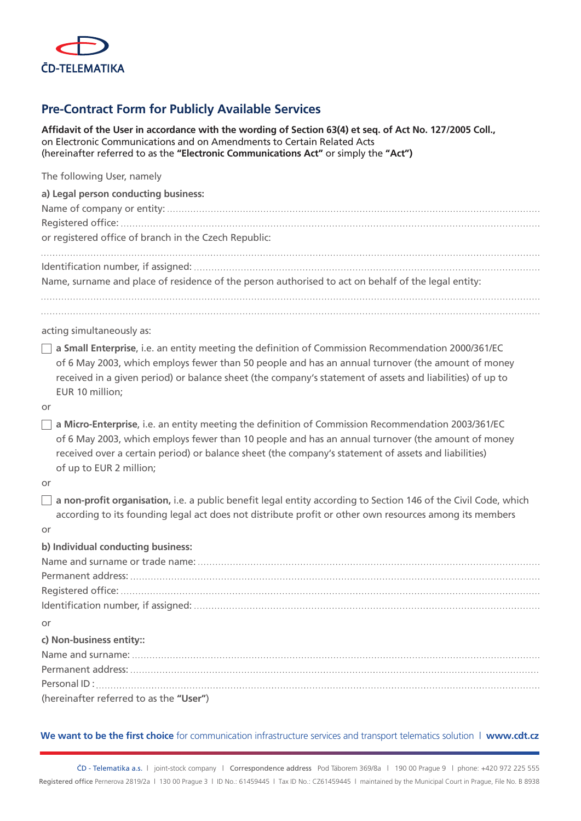

## **Pre-Contract Form for Publicly Available Services**

**Affidavit of the User in accordance with the wording of Section 63(4) et seq. of Act No. 127/2005 Coll.,**  on Electronic Communications and on Amendments to Certain Related Acts (hereinafter referred to as the **"Electronic Communications Act"** or simply the **"Act")**

| The following User, namely                                                                                                   |
|------------------------------------------------------------------------------------------------------------------------------|
| a) Legal person conducting business:                                                                                         |
|                                                                                                                              |
|                                                                                                                              |
| or registered office of branch in the Czech Republic:                                                                        |
|                                                                                                                              |
| Name, surname and place of residence of the person authorised to act on behalf of the legal entity:                          |
|                                                                                                                              |
| acting simultaneously as:                                                                                                    |
| $\Box$ a Small Enterprise, i.e. an entity meeting the definition of Commission Recommendation 2000/361/EC                    |
| of 6 May 2003, which employs fewer than 50 people and has an annual turnover (the amount of money                            |
| received in a given period) or balance sheet (the company's statement of assets and liabilities) of up to<br>EUR 10 million; |
| or                                                                                                                           |
| a Micro-Enterprise, i.e. an entity meeting the definition of Commission Recommendation 2003/361/EC                           |
| of 6 May 2003, which employs fewer than 10 people and has an annual turnover (the amount of money                            |
| received over a certain period) or balance sheet (the company's statement of assets and liabilities)                         |
| of up to EUR 2 million;                                                                                                      |
| or                                                                                                                           |
| a non-profit organisation, i.e. a public benefit legal entity according to Section 146 of the Civil Code, which              |
| according to its founding legal act does not distribute profit or other own resources among its members                      |
| or                                                                                                                           |
| b) Individual conducting business:                                                                                           |
|                                                                                                                              |
|                                                                                                                              |
|                                                                                                                              |
|                                                                                                                              |
| or                                                                                                                           |
| c) Non-business entity::                                                                                                     |
|                                                                                                                              |
|                                                                                                                              |
| (hereinafter referred to as the "User")                                                                                      |
|                                                                                                                              |
|                                                                                                                              |
| We want to be the first choice for communication infrastructure services and transport telematics solution   www.cdt.cz      |